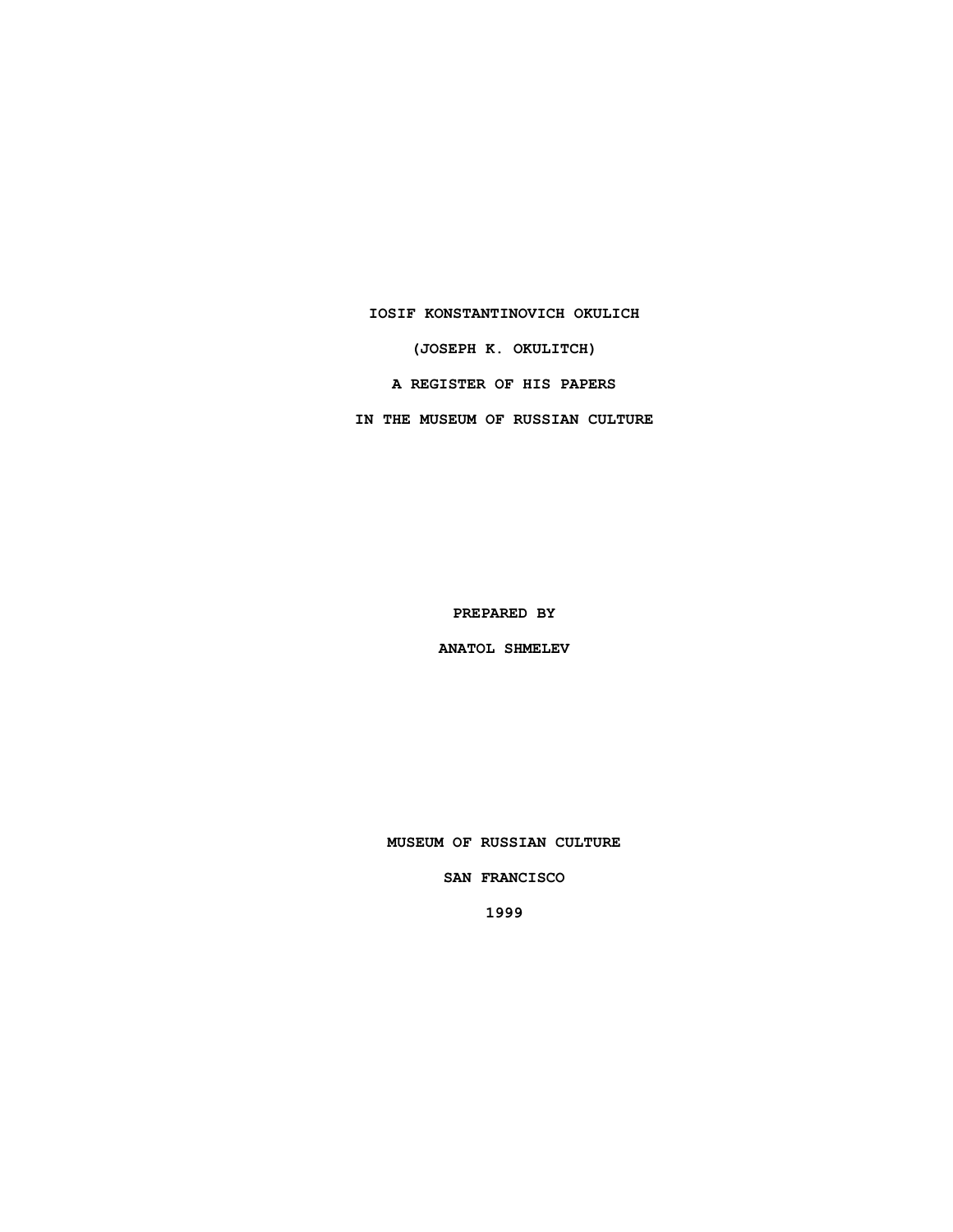### **IOSIF KONSTANTINOVICH OKULICH**

**(JOSEPH K. OKULITCH)**

**A REGISTER OF HIS PAPERS**

**IN THE MUSEUM OF RUSSIAN CULTURE**

**PREPARED BY**

**ANATOL SHMELEV**

**MUSEUM OF RUSSIAN CULTURE**

**SAN FRANCISCO**

**1999**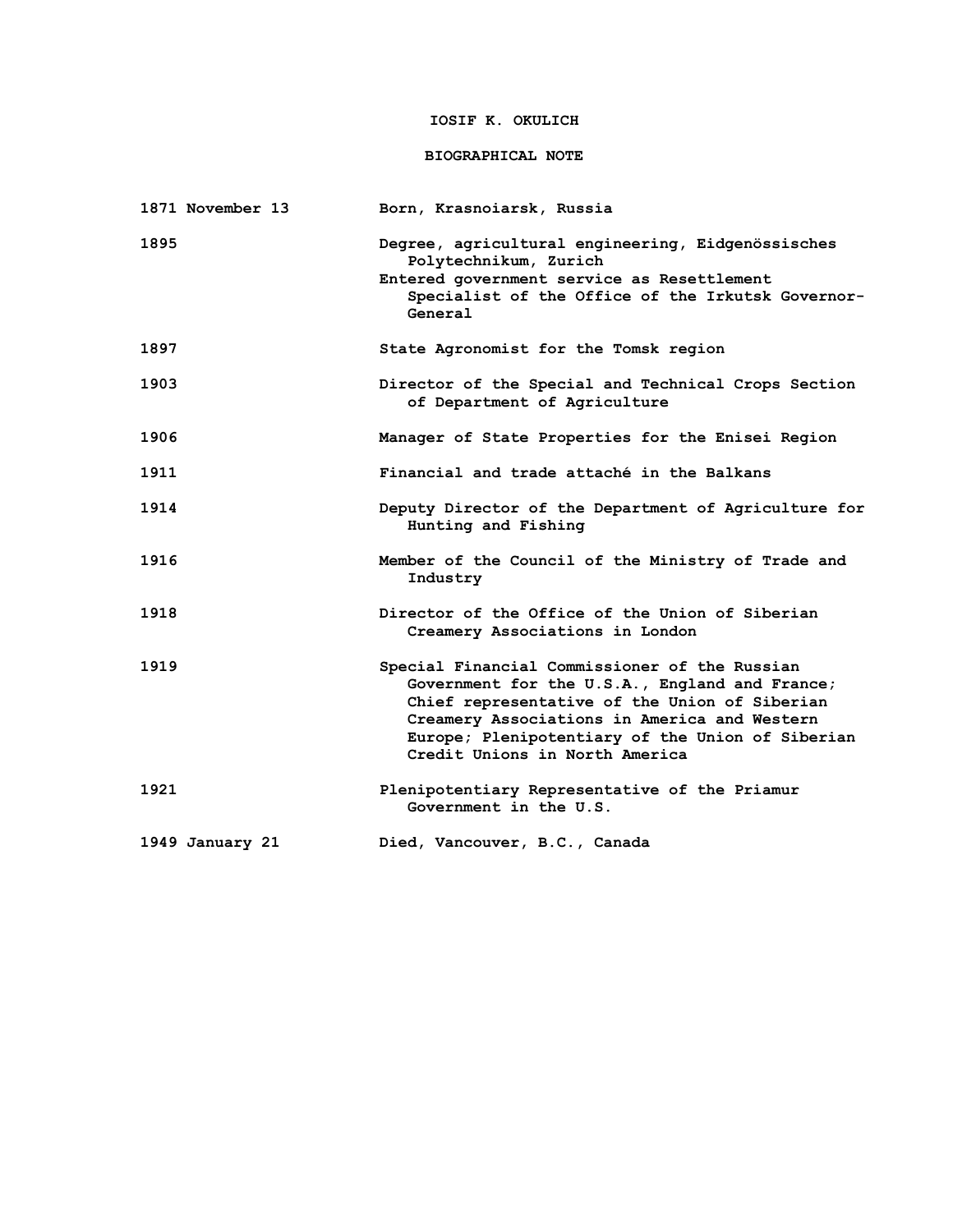# **IOSIF K. OKULICH**

## **BIOGRAPHICAL NOTE**

| 1871 November 13 | Born, Krasnoiarsk, Russia                                                                                                                                                                                                                                                              |
|------------------|----------------------------------------------------------------------------------------------------------------------------------------------------------------------------------------------------------------------------------------------------------------------------------------|
| 1895             | Degree, agricultural engineering, Eidgenössisches<br>Polytechnikum, Zurich<br>Entered government service as Resettlement<br>Specialist of the Office of the Irkutsk Governor-<br>General                                                                                               |
| 1897             | State Agronomist for the Tomsk region                                                                                                                                                                                                                                                  |
| 1903             | Director of the Special and Technical Crops Section<br>of Department of Agriculture                                                                                                                                                                                                    |
| 1906             | Manager of State Properties for the Enisei Region                                                                                                                                                                                                                                      |
| 1911             | Financial and trade attaché in the Balkans                                                                                                                                                                                                                                             |
| 1914             | Deputy Director of the Department of Agriculture for<br>Hunting and Fishing                                                                                                                                                                                                            |
| 1916             | Member of the Council of the Ministry of Trade and<br>Industry                                                                                                                                                                                                                         |
| 1918             | Director of the Office of the Union of Siberian<br>Creamery Associations in London                                                                                                                                                                                                     |
| 1919             | Special Financial Commissioner of the Russian<br>Government for the U.S.A., England and France;<br>Chief representative of the Union of Siberian<br>Creamery Associations in America and Western<br>Europe; Plenipotentiary of the Union of Siberian<br>Credit Unions in North America |
| 1921             | Plenipotentiary Representative of the Priamur<br>Government in the U.S.                                                                                                                                                                                                                |
| 1949 January 21  | Died, Vancouver, B.C., Canada                                                                                                                                                                                                                                                          |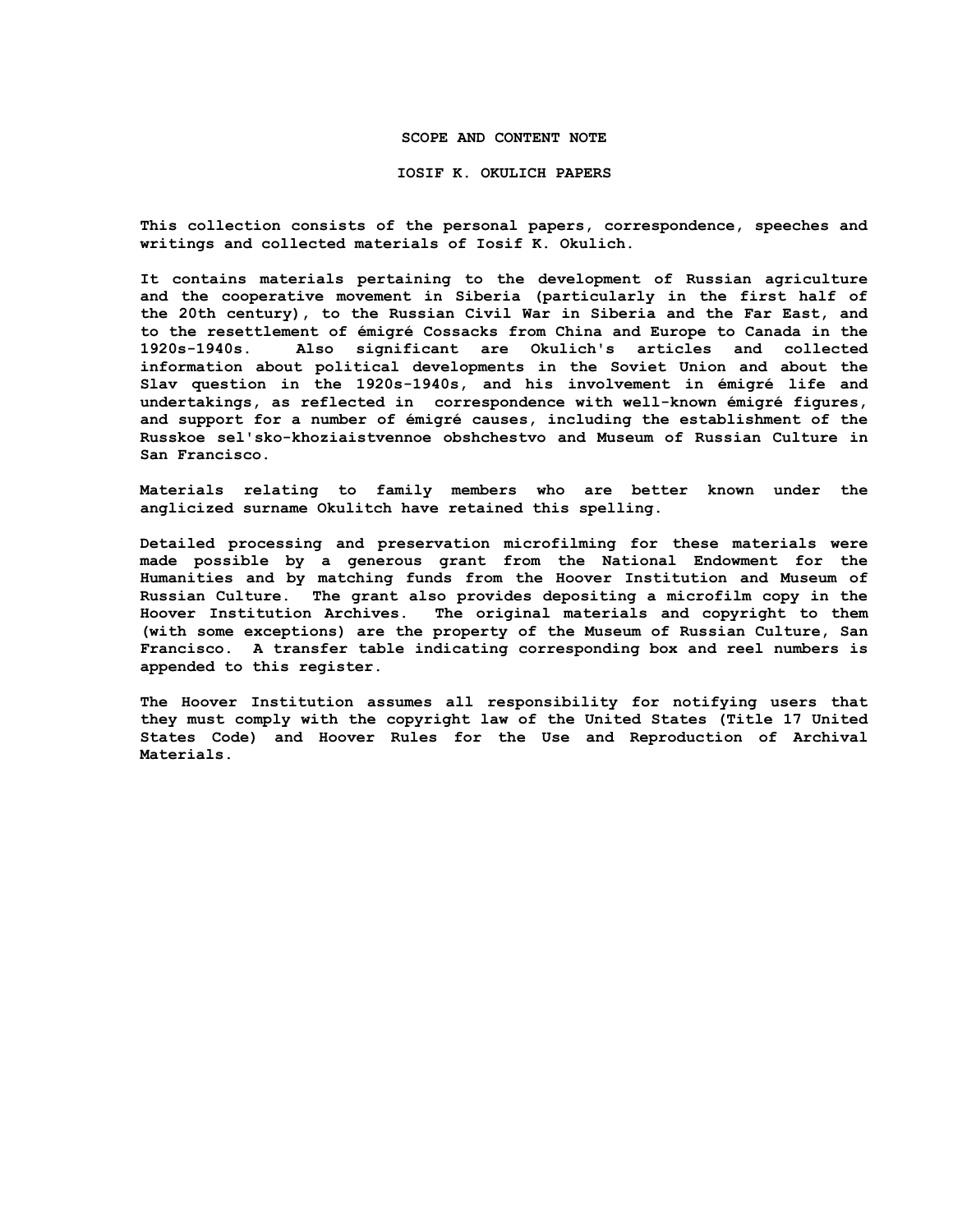### **SCOPE AND CONTENT NOTE**

#### **IOSIF K. OKULICH PAPERS**

**This collection consists of the personal papers, correspondence, speeches and writings and collected materials of Iosif K. Okulich.**

**It contains materials pertaining to the development of Russian agriculture and the cooperative movement in Siberia (particularly in the first half of the 20th century), to the Russian Civil War in Siberia and the Far East, and to the resettlement of émigré Cossacks from China and Europe to Canada in the 1920s-1940s. Also significant are Okulich's articles and collected information about political developments in the Soviet Union and about the Slav question in the 1920s-1940s, and his involvement in émigré life and undertakings, as reflected in correspondence with well-known émigré figures, and support for a number of émigré causes, including the establishment of the Russkoe sel'sko-khoziaistvennoe obshchestvo and Museum of Russian Culture in San Francisco.**

**Materials relating to family members who are better known under the anglicized surname Okulitch have retained this spelling.**

**Detailed processing and preservation microfilming for these materials were made possible by a generous grant from the National Endowment for the Humanities and by matching funds from the Hoover Institution and Museum of Russian Culture. The grant also provides depositing a microfilm copy in the Hoover Institution Archives. The original materials and copyright to them (with some exceptions) are the property of the Museum of Russian Culture, San Francisco. A transfer table indicating corresponding box and reel numbers is appended to this register.**

**The Hoover Institution assumes all responsibility for notifying users that they must comply with the copyright law of the United States (Title 17 United States Code) and Hoover Rules for the Use and Reproduction of Archival Materials.**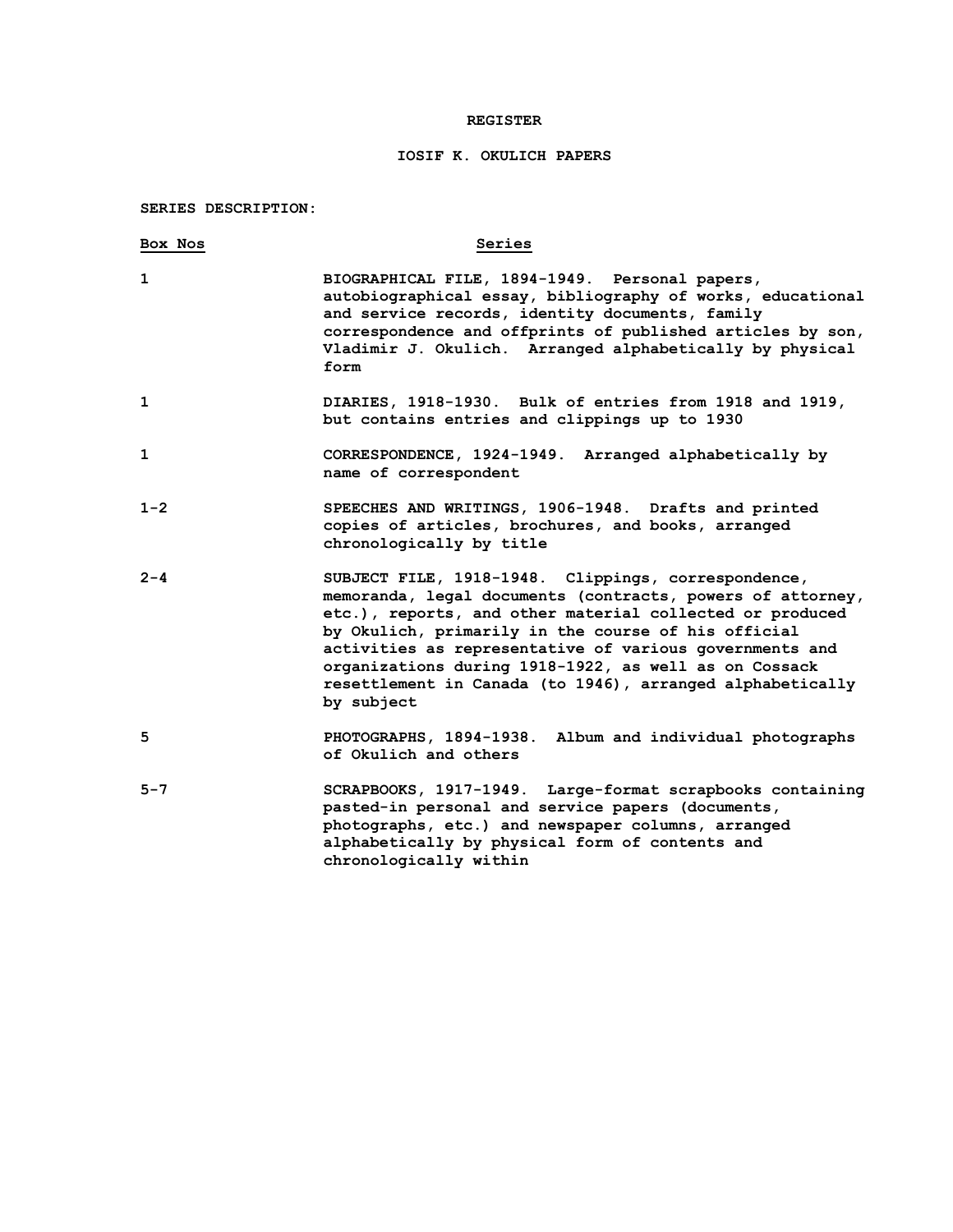### **REGISTER**

# **IOSIF K. OKULICH PAPERS**

# **SERIES DESCRIPTION:**

| Box Nos | Series                                                                                                                                                                                                                                                                                                                                                                                                                              |
|---------|-------------------------------------------------------------------------------------------------------------------------------------------------------------------------------------------------------------------------------------------------------------------------------------------------------------------------------------------------------------------------------------------------------------------------------------|
|         | BIOGRAPHICAL FILE, 1894-1949. Personal papers,<br>autobiographical essay, bibliography of works, educational<br>and service records, identity documents, family<br>correspondence and offprints of published articles by son,<br>Vladimir J. Okulich. Arranged alphabetically by physical<br>form                                                                                                                                   |
|         | DIARIES, 1918-1930. Bulk of entries from 1918 and 1919,<br>but contains entries and clippings up to 1930                                                                                                                                                                                                                                                                                                                            |
|         | CORRESPONDENCE, 1924-1949. Arranged alphabetically by<br>name of correspondent                                                                                                                                                                                                                                                                                                                                                      |
| $1 - 2$ | SPEECHES AND WRITINGS, 1906-1948. Drafts and printed<br>copies of articles, brochures, and books, arranged<br>chronologically by title                                                                                                                                                                                                                                                                                              |
| $2 - 4$ | SUBJECT FILE, 1918-1948. Clippings, correspondence,<br>memoranda, legal documents (contracts, powers of attorney,<br>etc.), reports, and other material collected or produced<br>by Okulich, primarily in the course of his official<br>activities as representative of various governments and<br>organizations during 1918-1922, as well as on Cossack<br>resettlement in Canada (to 1946), arranged alphabetically<br>by subject |
| 5       | PHOTOGRAPHS, 1894-1938. Album and individual photographs<br>of Okulich and others                                                                                                                                                                                                                                                                                                                                                   |
| $5 - 7$ | SCRAPBOOKS, 1917-1949. Large-format scrapbooks containing<br>pasted-in personal and service papers (documents,<br>photographs, etc.) and newspaper columns, arranged<br>alphabetically by physical form of contents and<br>chronologically within                                                                                                                                                                                   |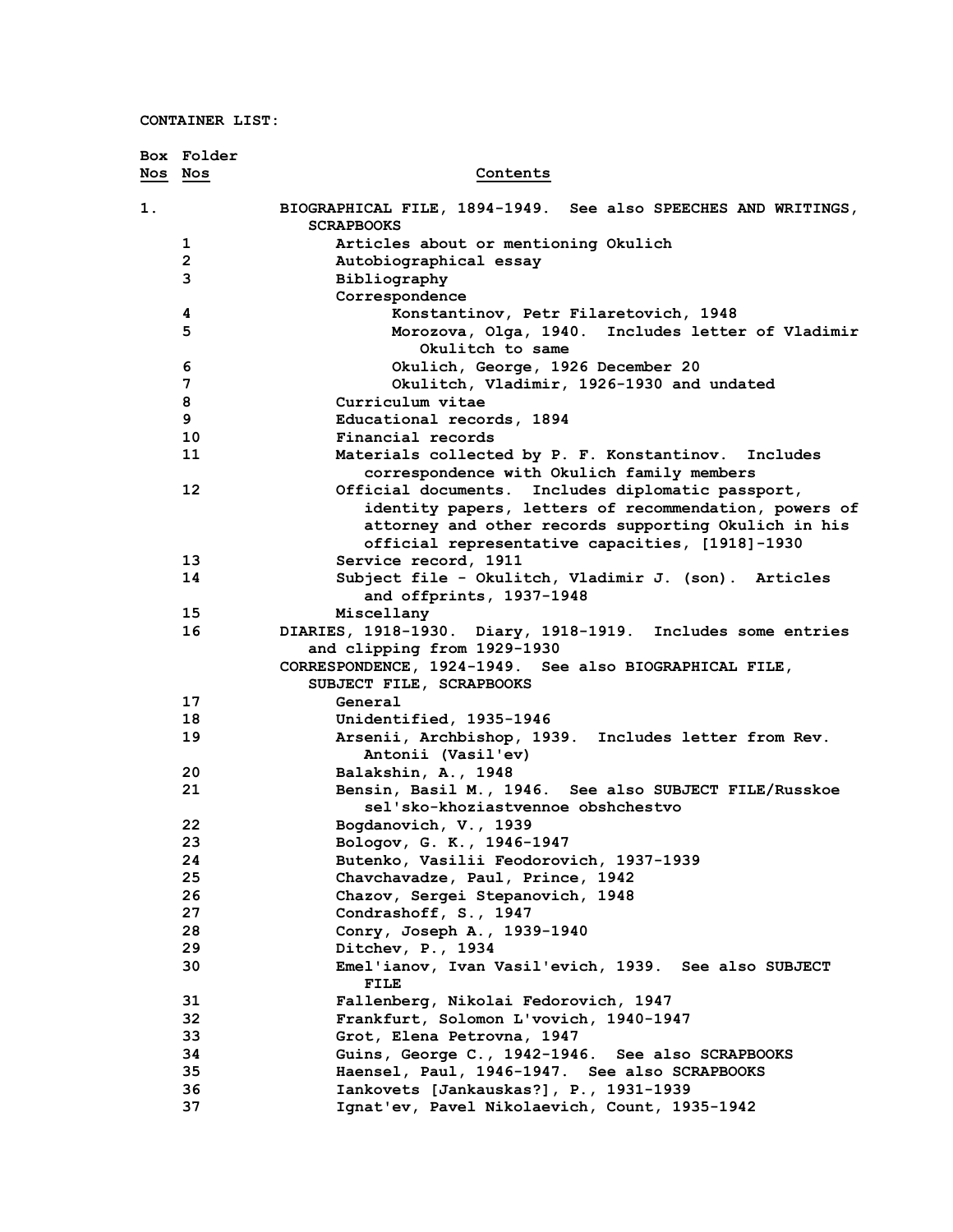|         | Box Folder   |                                                                                       |
|---------|--------------|---------------------------------------------------------------------------------------|
| Nos Nos |              | Contents                                                                              |
| 1.      |              | BIOGRAPHICAL FILE, 1894-1949. See also SPEECHES AND WRITINGS,<br><b>SCRAPBOOKS</b>    |
|         | 1            | Articles about or mentioning Okulich                                                  |
|         | $\mathbf{2}$ | Autobiographical essay                                                                |
|         | 3            | Bibliography                                                                          |
|         |              | Correspondence                                                                        |
|         | 4            | Konstantinov, Petr Filaretovich, 1948                                                 |
|         | 5            | Morozova, Olga, 1940. Includes letter of Vladimir<br>Okulitch to same                 |
|         | 6            | Okulich, George, 1926 December 20                                                     |
|         | 7            | Okulitch, Vladimir, 1926-1930 and undated                                             |
|         | 8            | Curriculum vitae                                                                      |
|         | 9            | Educational records, 1894                                                             |
|         | 10           | Financial records                                                                     |
|         | 11           | Materials collected by P. F. Konstantinov. Includes                                   |
|         |              | correspondence with Okulich family members                                            |
|         | 12           | Official documents. Includes diplomatic passport,                                     |
|         |              | identity papers, letters of recommendation, powers of                                 |
|         |              | attorney and other records supporting Okulich in his                                  |
|         |              | official representative capacities, [1918]-1930                                       |
|         | 13           | Service record, 1911                                                                  |
|         | 14           | Subject file - Okulitch, Vladimir J. (son). Articles                                  |
|         |              | and offprints, 1937-1948                                                              |
|         | 15           | Miscellany                                                                            |
|         | 16           | DIARIES, 1918-1930. Diary, 1918-1919. Includes some entries                           |
|         |              | and clipping from 1929-1930<br>CORRESPONDENCE, 1924-1949. See also BIOGRAPHICAL FILE, |
|         |              | SUBJECT FILE, SCRAPBOOKS                                                              |
|         | 17           | General                                                                               |
|         | 18           | Unidentified, 1935-1946                                                               |
|         | 19           | Arsenii, Archbishop, 1939. Includes letter from Rev.                                  |
|         |              | Antonii (Vasil'ev)                                                                    |
|         | 20           | Balakshin, A., 1948                                                                   |
|         | 21           | Bensin, Basil M., 1946. See also SUBJECT FILE/Russkoe                                 |
|         |              | sel'sko-khoziastvennoe obshchestvo                                                    |
|         | 22           | Bogdanovich, V., 1939                                                                 |
|         | 23           | Bologov, G. K., 1946-1947                                                             |
|         | 24           | Butenko, Vasilii Feodorovich, 1937-1939                                               |
|         | 25           | Chavchavadze, Paul, Prince, 1942                                                      |
|         | 26           | Chazov, Sergei Stepanovich, 1948                                                      |
|         | 27           | Condrashoff, S., 1947                                                                 |
|         | 28           | Conry, Joseph A., 1939-1940                                                           |
|         | 29           | Ditchev, P., 1934                                                                     |
|         | 30           | Emel'ianov, Ivan Vasil'evich, 1939. See also SUBJECT<br>FILE                          |
|         | 31           | Fallenberg, Nikolai Fedorovich, 1947                                                  |
|         | 32           | Frankfurt, Solomon L'vovich, 1940-1947                                                |
|         | 33           | Grot, Elena Petrovna, 1947                                                            |
|         | 34           | Guins, George C., 1942-1946. See also SCRAPBOOKS                                      |
|         | 35           | Haensel, Paul, 1946-1947. See also SCRAPBOOKS                                         |
|         | 36           | Iankovets [Jankauskas?], P., 1931-1939                                                |
|         | 37           | Ignat'ev, Pavel Nikolaevich, Count, 1935-1942                                         |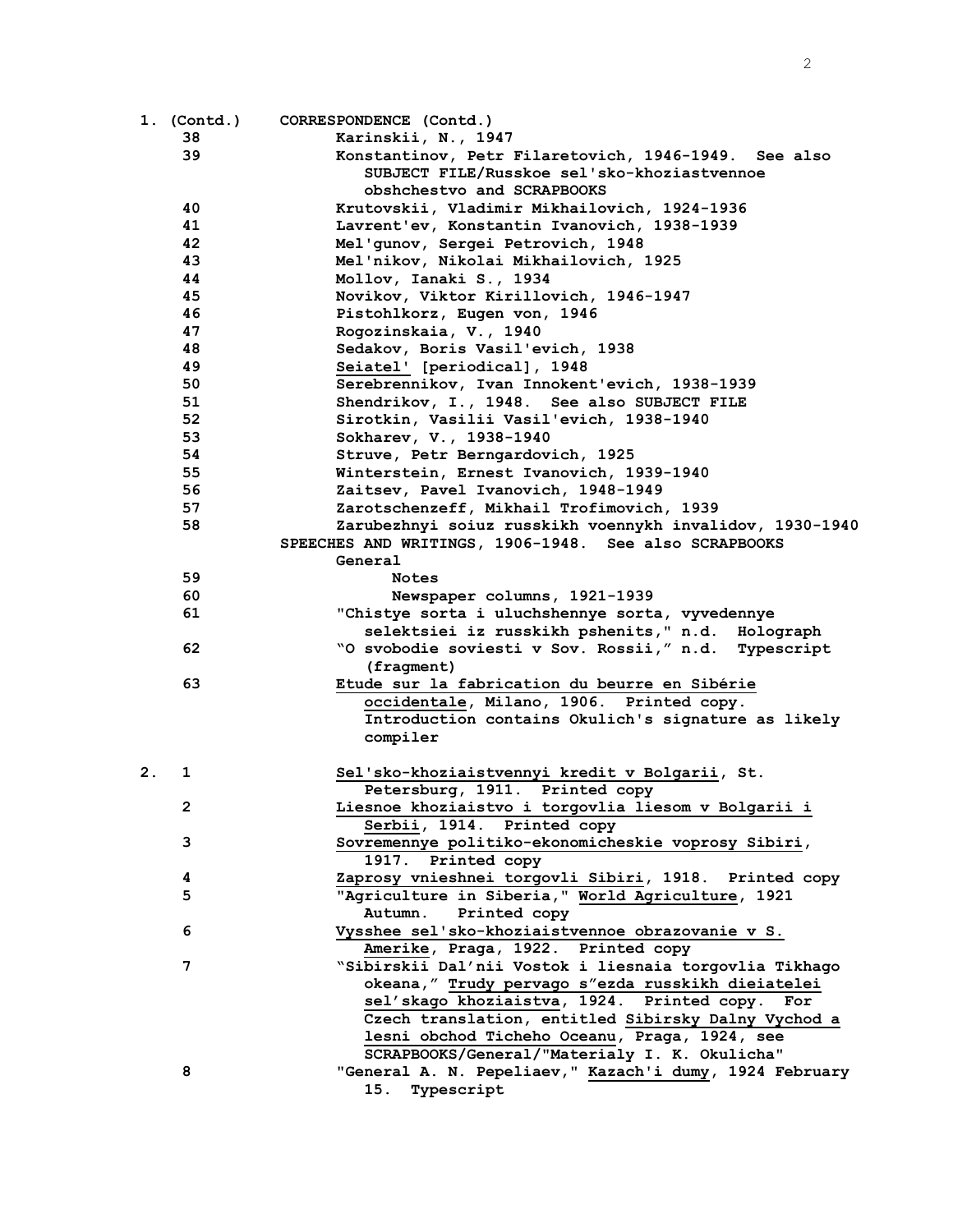|    | 1. (Contd.) | CORRESPONDENCE (Contd.)                                  |
|----|-------------|----------------------------------------------------------|
|    | 38          | Karinskii, N., 1947                                      |
|    | 39          | Konstantinov, Petr Filaretovich, 1946-1949. See also     |
|    |             | SUBJECT FILE/Russkoe sel'sko-khoziastvennoe              |
|    |             | obshchestvo and SCRAPBOOKS                               |
|    | 40          | Krutovskii, Vladimir Mikhailovich, 1924-1936             |
|    | 41          | Lavrent'ev, Konstantin Ivanovich, 1938-1939              |
|    | 42          | Mel'gunov, Sergei Petrovich, 1948                        |
|    | 43          | Mel'nikov, Nikolai Mikhailovich, 1925                    |
|    | 44          | Mollov, Ianaki S., 1934                                  |
|    | 45          | Novikov, Viktor Kirillovich, 1946-1947                   |
|    | 46          | Pistohlkorz, Eugen von, 1946                             |
|    | 47          | Rogozinskaia, V., 1940                                   |
|    | 48          | Sedakov, Boris Vasil'evich, 1938                         |
|    | 49          | Seiatel' [periodical], 1948                              |
|    | 50          | Serebrennikov, Ivan Innokent'evich, 1938-1939            |
|    | 51          | Shendrikov, I., 1948. See also SUBJECT FILE              |
|    | 52          | Sirotkin, Vasilii Vasil'evich, 1938-1940                 |
|    | 53          | Sokharev, V., 1938-1940                                  |
|    | 54          | Struve, Petr Berngardovich, 1925                         |
|    | 55          | Winterstein, Ernest Ivanovich, 1939-1940                 |
|    | 56          | Zaitsev, Pavel Ivanovich, 1948-1949                      |
|    | 57          | Zarotschenzeff, Mikhail Trofimovich, 1939                |
|    | 58          | Zarubezhnyi soiuz russkikh voennykh invalidov, 1930-1940 |
|    |             | SPEECHES AND WRITINGS, 1906-1948. See also SCRAPBOOKS    |
|    |             | General                                                  |
|    | 59          | <b>Notes</b>                                             |
|    | 60          | Newspaper columns, 1921-1939                             |
|    | 61          | "Chistye sorta i uluchshennye sorta, vyvedennye          |
|    |             | selektsiei iz russkikh pshenits, " n.d. Holograph        |
|    | 62          | "O svobodie soviesti v Sov. Rossii," n.d. Typescript     |
|    |             | (fragment)                                               |
|    | 63          | Etude sur la fabrication du beurre en Sibérie            |
|    |             | occidentale, Milano, 1906. Printed copy.                 |
|    |             | Introduction contains Okulich's signature as likely      |
|    |             | compiler                                                 |
|    |             |                                                          |
| 2. | 1           | Sel'sko-khoziaistvennyi kredit v Bolgarii, St.           |
|    |             | Petersburg, 1911. Printed copy                           |
|    | 2           | Liesnoe khoziaistvo i torgovlia liesom v Bolgarii i      |
|    |             | Serbii, 1914. Printed copy                               |
|    | 3           | Sovremennye politiko-ekonomicheskie voprosy Sibiri,      |
|    |             | 1917. Printed copy                                       |
|    | 4           | Zaprosy vnieshnei torgovli Sibiri, 1918. Printed copy    |
|    | 5           | "Agriculture in Siberia," World Agriculture, 1921        |
|    |             | Autumn.<br>Printed copy                                  |
|    | 6           | Vysshee sel'sko-khoziaistvennoe obrazovanie v S.         |
|    |             | Amerike, Praga, 1922. Printed copy                       |
|    | 7           | "Sibirskii Dal'nii Vostok i liesnaia torgovlia Tikhago   |
|    |             | okeana," Trudy pervago s"ezda russkikh dieiatelei        |
|    |             | sel'skago khoziaistva, 1924. Printed copy.<br>For        |
|    |             | Czech translation, entitled Sibirsky Dalny Vychod a      |
|    |             | lesni obchod Ticheho Oceanu, Praga, 1924, see            |
|    |             | SCRAPBOOKS/General/"Materialy I. K. Okulicha"            |
|    | 8           | "General A. N. Pepeliaev," Kazach'i dumy, 1924 February  |
|    |             | 15. Typescript                                           |
|    |             |                                                          |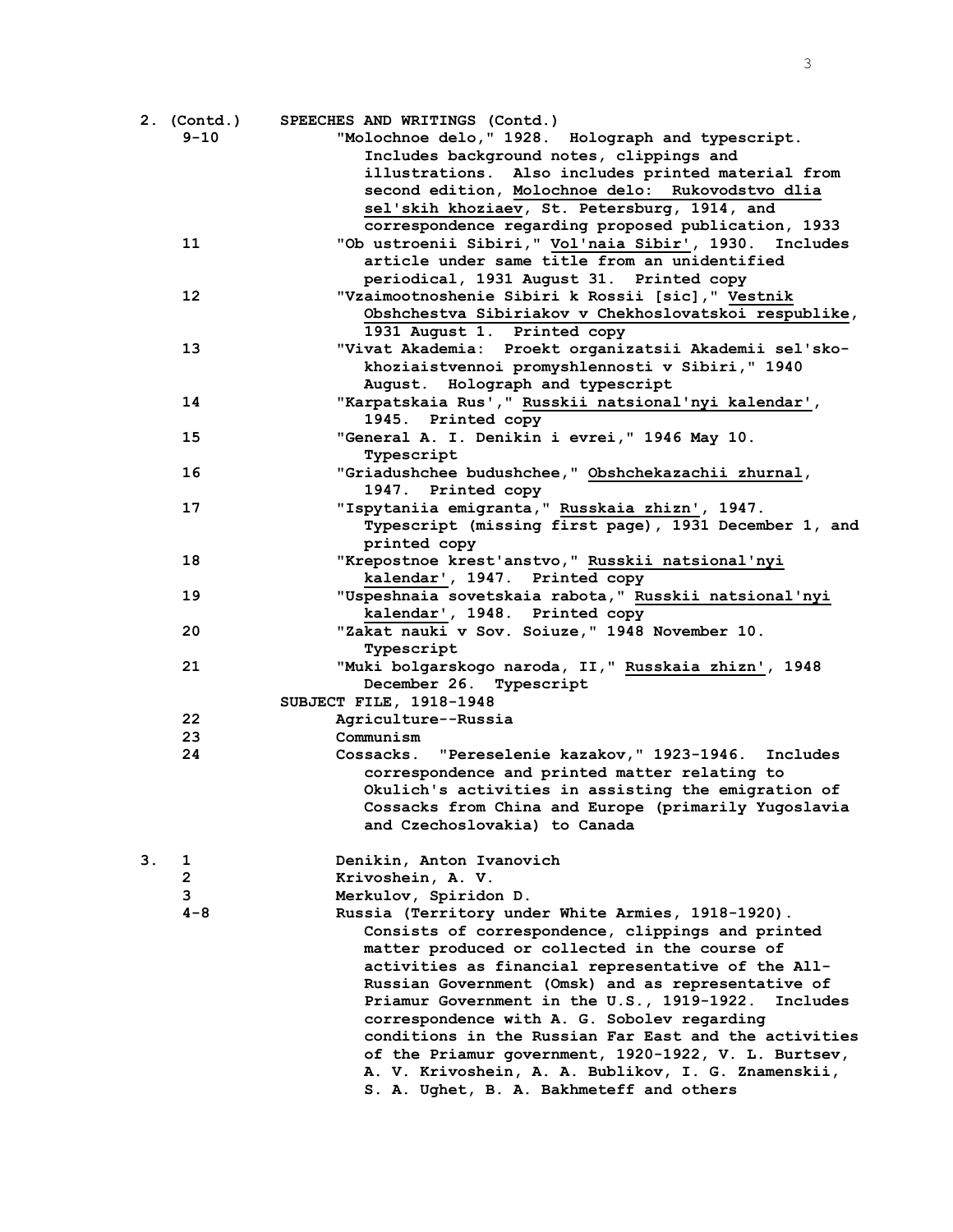|    | 2. (Contd.)    | SPEECHES AND WRITINGS (Contd.)                                                                     |
|----|----------------|----------------------------------------------------------------------------------------------------|
|    | $9 - 10$       | "Molochnoe delo, " 1928. Holograph and typescript.                                                 |
|    |                | Includes background notes, clippings and                                                           |
|    |                | illustrations. Also includes printed material from                                                 |
|    |                | second edition, Molochnoe delo: Rukovodstvo dlia                                                   |
|    |                | sel'skih khoziaev, St. Petersburg, 1914, and                                                       |
|    |                | correspondence regarding proposed publication, 1933                                                |
|    | 11             | "Ob ustroenii Sibiri," Vol'naia Sibir', 1930. Includes                                             |
|    |                | article under same title from an unidentified                                                      |
|    |                | periodical, 1931 August 31. Printed copy                                                           |
|    | 12             | "Vzaimootnoshenie Sibiri k Rossii [sic], " Vestnik                                                 |
|    |                | Obshchestva Sibiriakov v Chekhoslovatskoi respublike,                                              |
|    |                | 1931 August 1. Printed copy                                                                        |
|    | 13             | "Vivat Akademia: Proekt organizatsii Akademii sel'sko-                                             |
|    |                | khoziaistvennoi promyshlennosti v Sibiri, "1940                                                    |
|    |                | August. Holograph and typescript                                                                   |
|    | 14             | "Karpatskaia Rus', " Russkii natsional'nyi kalendar',                                              |
|    |                | 1945. Printed copy                                                                                 |
|    | 15             | "General A. I. Denikin i evrei," 1946 May 10.                                                      |
|    |                | Typescript                                                                                         |
|    | 16             | "Griadushchee budushchee, " Obshchekazachii zhurnal,                                               |
|    |                | 1947. Printed copy                                                                                 |
|    | 17             | "Ispytaniia emigranta, "Russkaia zhizn', 1947.                                                     |
|    |                | Typescript (missing first page), 1931 December 1, and                                              |
|    |                | printed copy                                                                                       |
|    | 18             | "Krepostnoe krest'anstvo," Russkii natsional'nyi                                                   |
|    |                | kalendar', 1947. Printed copy                                                                      |
|    | 19             | "Uspeshnaia sovetskaia rabota," Russkii natsional'nyi                                              |
|    |                | kalendar', 1948. Printed copy                                                                      |
|    | 20             | "Zakat nauki v Sov. Soiuze," 1948 November 10.                                                     |
|    |                | Typescript                                                                                         |
|    | 21             | "Muki bolgarskogo naroda, II," Russkaia zhizn', 1948                                               |
|    |                | December 26. Typescript                                                                            |
|    |                | SUBJECT FILE, 1918-1948                                                                            |
|    | 22             | Agriculture--Russia                                                                                |
|    | 23             | Communism                                                                                          |
|    | 24             | Cossacks. "Pereselenie kazakov," 1923-1946. Includes                                               |
|    |                | correspondence and printed matter relating to                                                      |
|    |                | Okulich's activities in assisting the emigration of                                                |
|    |                |                                                                                                    |
|    |                | Cossacks from China and Europe (primarily Yugoslavia<br>and Czechoslovakia) to Canada              |
|    |                |                                                                                                    |
| З. | 1              | Denikin, Anton Ivanovich                                                                           |
|    | $\overline{2}$ | Krivoshein, A. V.                                                                                  |
|    | 3              | Merkulov, Spiridon D.                                                                              |
|    | $4 - 8$        |                                                                                                    |
|    |                | Russia (Territory under White Armies, 1918-1920).                                                  |
|    |                | Consists of correspondence, clippings and printed<br>matter produced or collected in the course of |
|    |                |                                                                                                    |
|    |                | activities as financial representative of the All-                                                 |
|    |                | Russian Government (Omsk) and as representative of                                                 |
|    |                | Priamur Government in the U.S., 1919-1922.<br>Includes                                             |
|    |                | correspondence with A. G. Sobolev regarding                                                        |
|    |                | conditions in the Russian Far East and the activities                                              |
|    |                | of the Priamur government, 1920-1922, V. L. Burtsev,                                               |
|    |                | A. V. Krivoshein, A. A. Bublikov, I. G. Znamenskii,                                                |
|    |                | S. A. Ughet, B. A. Bakhmeteff and others                                                           |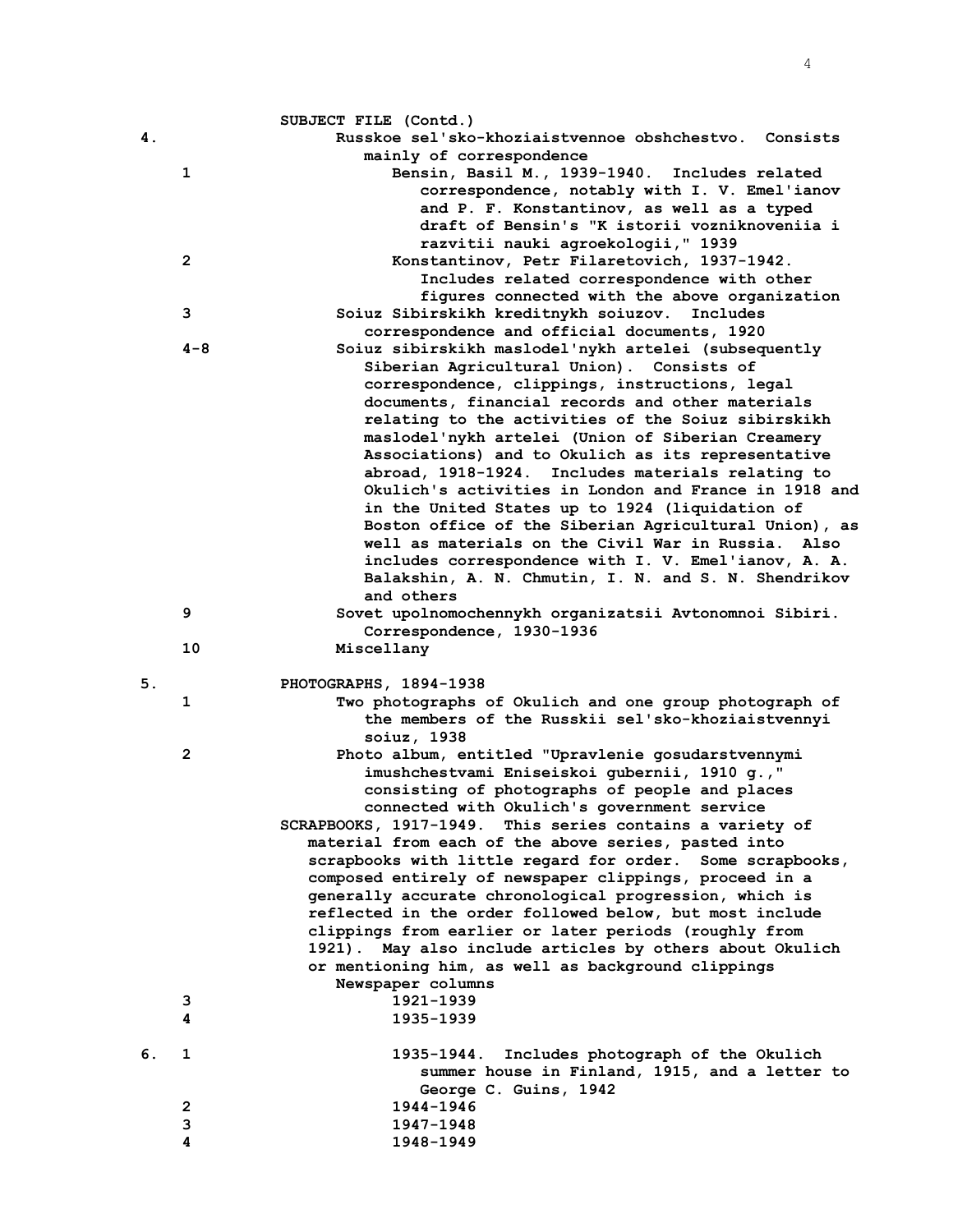|    |              | SUBJECT FILE (Contd.)                                     |
|----|--------------|-----------------------------------------------------------|
| 4. |              | Russkoe sel'sko-khoziaistvennoe obshchestvo. Consists     |
|    |              | mainly of correspondence                                  |
|    | 1            | Bensin, Basil M., 1939-1940. Includes related             |
|    |              | correspondence, notably with I. V. Emel'ianov             |
|    |              | and P. F. Konstantinov, as well as a typed                |
|    |              | draft of Bensin's "K istorii vozniknoveniia i             |
|    |              | razvitii nauki agroekologii, "1939                        |
|    | $\mathbf{2}$ | Konstantinov, Petr Filaretovich, 1937-1942.               |
|    |              | Includes related correspondence with other                |
|    |              | figures connected with the above organization             |
|    | 3            | Soiuz Sibirskikh kreditnykh soiuzov. Includes             |
|    |              | correspondence and official documents, 1920               |
|    | $4 - 8$      | Soiuz sibirskikh maslodel'nykh artelei (subsequently      |
|    |              | Siberian Agricultural Union). Consists of                 |
|    |              | correspondence, clippings, instructions, legal            |
|    |              | documents, financial records and other materials          |
|    |              | relating to the activities of the Soiuz sibirskikh        |
|    |              | maslodel'nykh artelei (Union of Siberian Creamery         |
|    |              | Associations) and to Okulich as its representative        |
|    |              | abroad, 1918-1924. Includes materials relating to         |
|    |              | Okulich's activities in London and France in 1918 and     |
|    |              | in the United States up to 1924 (liquidation of           |
|    |              | Boston office of the Siberian Agricultural Union), as     |
|    |              | well as materials on the Civil War in Russia. Also        |
|    |              | includes correspondence with I. V. Emel'ianov, A. A.      |
|    |              | Balakshin, A. N. Chmutin, I. N. and S. N. Shendrikov      |
|    |              | and others                                                |
|    | 9            | Sovet upolnomochennykh organizatsii Avtonomnoi Sibiri.    |
|    |              |                                                           |
|    |              |                                                           |
|    |              | Correspondence, 1930-1936                                 |
|    | 10           | Miscellany                                                |
|    |              |                                                           |
| 5. |              | PHOTOGRAPHS, 1894-1938                                    |
|    | 1            | Two photographs of Okulich and one group photograph of    |
|    |              | the members of the Russkii sel'sko-khoziaistvennyi        |
|    |              | soiuz, 1938                                               |
|    | $\mathbf{2}$ | Photo album, entitled "Upravlenie gosudarstvennymi        |
|    |              | imushchestvami Eniseiskoi gubernii, 1910 g., "            |
|    |              | consisting of photographs of people and places            |
|    |              | connected with Okulich's government service               |
|    |              | SCRAPBOOKS, 1917-1949. This series contains a variety of  |
|    |              | material from each of the above series, pasted into       |
|    |              | scrapbooks with little regard for order. Some scrapbooks, |
|    |              | composed entirely of newspaper clippings, proceed in a    |
|    |              | generally accurate chronological progression, which is    |
|    |              | reflected in the order followed below, but most include   |
|    |              | clippings from earlier or later periods (roughly from     |
|    |              | 1921). May also include articles by others about Okulich  |
|    |              | or mentioning him, as well as background clippings        |
|    |              | Newspaper columns                                         |
|    | з<br>4       | 1921-1939<br>1935–1939                                    |
|    |              |                                                           |
| 6. | 1            | 1935-1944. Includes photograph of the Okulich             |
|    |              | summer house in Finland, 1915, and a letter to            |
|    |              | George C. Guins, 1942                                     |
|    | $\mathbf{2}$ | 1944-1946                                                 |
|    | 3<br>4       | 1947-1948<br>1948-1949                                    |